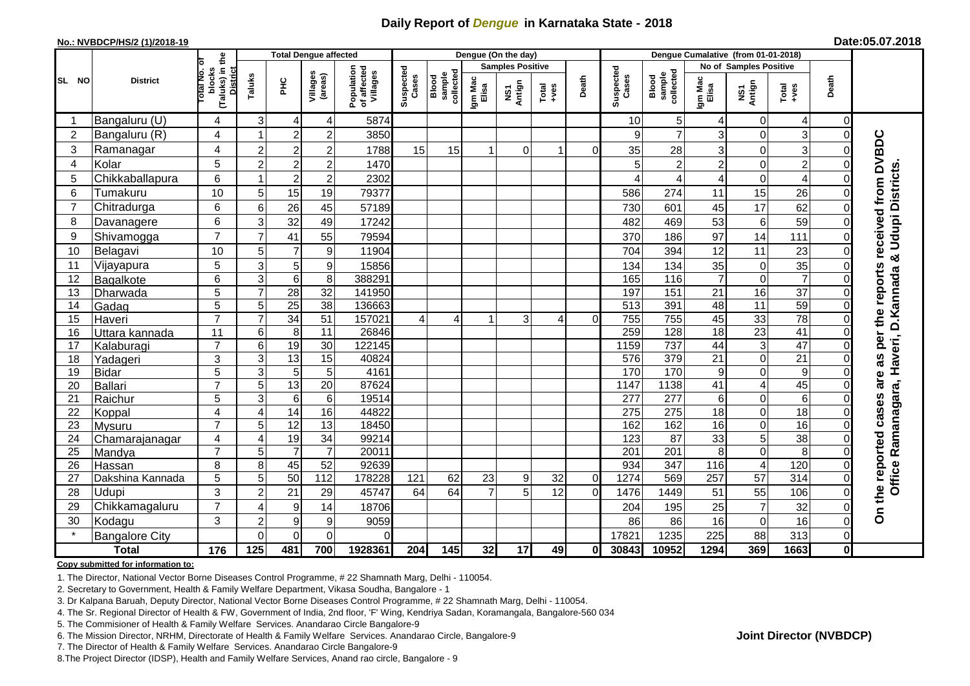# **Daily Report of** *Dengue* **in Karnataka State - 2018**

#### **No.: NVBDCP/HS/2 (1)/2018-19**

|  | Date:05.07.2018 |
|--|-----------------|
|--|-----------------|

|                | <b>District</b>            |                                                      |                 | <b>Total Dengue affected</b> |                                   |                                       | Dengue (On the day) |                              |                         |               |               |             |                    |                              |                               |                              |                         |                         |                               |
|----------------|----------------------------|------------------------------------------------------|-----------------|------------------------------|-----------------------------------|---------------------------------------|---------------------|------------------------------|-------------------------|---------------|---------------|-------------|--------------------|------------------------------|-------------------------------|------------------------------|-------------------------|-------------------------|-------------------------------|
|                |                            |                                                      |                 |                              |                                   |                                       |                     |                              | <b>Samples Positive</b> |               |               |             |                    |                              | <b>No of Samples Positive</b> |                              |                         |                         |                               |
| SL NO          |                            | (Taluks) in the<br>District<br>otal No. ol<br>blocks | Taluks          | ЭHС                          | Villages<br>(areas)               | Population<br>of affected<br>Villages | Suspected<br>Cases  | sample<br>collected<br>Blood | Igm Mac<br>Elisa        | NS1<br>Antign | Total<br>+ves | Death       | Suspected<br>Cases | Blood<br>sample<br>collected | Igm Mac<br>Elisa              | NS1<br>Antign                | Total<br>+ves           | Death                   |                               |
|                | Bangaluru (U)              | 4                                                    | 3               | $\overline{4}$               | 4                                 | 5874                                  |                     |                              |                         |               |               |             | 10                 | 5                            | 4                             | 0                            | 4                       | 0                       |                               |
| $\overline{2}$ | Bangaluru (R)              | 4                                                    | 1               | $\overline{c}$               | $\overline{c}$                    | 3850                                  |                     |                              |                         |               |               |             | 9                  | $\overline{7}$               | 3                             | 0                            | $\overline{3}$          | $\mathbf 0$             |                               |
| 3              | Ramanagar                  | 4                                                    | $\overline{2}$  | $\overline{2}$               | $\overline{\mathbf{c}}$           | 1788                                  | 15                  | 15                           |                         | $\Omega$      | 1             | $\Omega$    | 35                 | 28                           | 3                             | 0                            | 3                       | $\Omega$                | received from DVBDC           |
| $\overline{4}$ | Kolar                      | 5                                                    | $\overline{2}$  | $\overline{c}$               | $\overline{c}$                    | 1470                                  |                     |                              |                         |               |               |             | 5                  | $\overline{2}$               | $\overline{c}$                | 0                            | $\overline{a}$          | $\Omega$                |                               |
| 5              | Chikkaballapura            | 6                                                    |                 | $\overline{2}$               | $\overline{2}$                    | 2302                                  |                     |                              |                         |               |               |             |                    |                              |                               | $\mathbf 0$                  | $\overline{\mathbf{4}}$ | $\Omega$                |                               |
| 6              | Tumakuru                   | 10                                                   | 5               | 15                           | 19                                | 79377                                 |                     |                              |                         |               |               |             | 586                | 274                          | 11                            | 15                           | 26                      | $\Omega$                |                               |
| $\overline{7}$ | Chitradurga                | 6                                                    | $\,6$           | 26                           | 45                                | 57189                                 |                     |                              |                         |               |               |             | 730                | 601                          | 45                            | 17                           | 62                      | $\Omega$                |                               |
| 8              | Davanagere                 | 6                                                    | 3               | 32                           | 49                                | 17242                                 |                     |                              |                         |               |               |             | 482                | 469                          | 53                            | 6                            | 59                      | $\Omega$                |                               |
| 9              | Shivamogga                 | $\overline{7}$                                       | $\overline{7}$  | 41                           | 55                                | 79594                                 |                     |                              |                         |               |               |             | 370                | 186                          | 97                            | 14                           | 111                     | $\Omega$                | <b>Udupi Districts</b>        |
| 10             | Belagavi                   | 10                                                   | 5               | $\overline{7}$               | $\overline{9}$                    | 11904                                 |                     |                              |                         |               |               |             | 704                | 394                          | 12                            | 11                           | 23                      | $\Omega$                | න්                            |
| 11             | Vijayapura                 | 5                                                    | 3               | 5                            | $\boldsymbol{9}$                  | 15856                                 |                     |                              |                         |               |               |             | 134                | 134                          | 35                            | $\pmb{0}$                    | 35                      | $\Omega$                |                               |
| 12             | Bagalkote                  | 6                                                    | $\overline{3}$  | $\,6$                        | 8                                 | 388291                                |                     |                              |                         |               |               |             | 165                | 116                          | $\overline{7}$                | $\boldsymbol{0}$             | $\overline{7}$          | $\Omega$                |                               |
| 13             | Dharwada                   | 5                                                    | $\overline{7}$  | $\overline{28}$              | $\overline{32}$                   | 141950                                |                     |                              |                         |               |               |             | 197                | 151                          | 21                            | 16                           | $\overline{37}$         | $\Omega$                | per the reports<br>D. Kannada |
| 14             | Gadag                      | 5                                                    | 5               | $\overline{25}$              | $\overline{38}$                   | 136663                                |                     |                              |                         |               |               |             | 513                | 391                          | 48                            | 11                           | 59                      | $\Omega$                |                               |
| 15             | Haveri                     | $\overline{7}$                                       | $\overline{7}$  | 34                           | 51                                | 157021                                | 4                   | 4                            |                         | 3             | 4             | $\Omega$    | 755                | 755                          | 45                            | 33                           | $\overline{78}$         | $\Omega$                |                               |
| 16             | Uttara kannada             | 11                                                   | $\,6$           | 8                            | $\overline{11}$                   | 26846                                 |                     |                              |                         |               |               |             | 259                | 128                          | $\overline{18}$               | $\overline{23}$              | 41                      | $\mathcal{C}$           |                               |
| 17             | Kalaburagi                 | $\overline{7}$                                       | $6\phantom{1}$  | 19                           | $\overline{30}$                   | 122145                                |                     |                              |                         |               |               |             | 1159               | 737                          | 44                            | $\overline{3}$               | $\overline{47}$         | $\bigcap$               |                               |
| 18             | Yadageri                   | 3                                                    | 3               | 13                           | 15                                | 40824                                 |                     |                              |                         |               |               |             | 576                | 379                          | $\overline{21}$               | $\mathbf 0$                  | $\overline{21}$         | $\Omega$                | Haveri,<br>8g                 |
| 19             | <b>Bidar</b>               | 5                                                    | 3               | $\sqrt{5}$                   | $\mathbf 5$                       | 4161                                  |                     |                              |                         |               |               |             | 170                | 170                          | 9                             | 0                            | $\boldsymbol{9}$        | $\Omega$                | are                           |
| 20             | <b>Ballari</b>             | $\overline{7}$                                       | $\overline{5}$  | 13                           | $\overline{20}$                   | 87624                                 |                     |                              |                         |               |               |             | 1147               | 1138                         | 41                            | 4                            | 45                      | $\bigcap$               |                               |
| 21             | Raichur                    | 5                                                    | $\overline{3}$  | $6\phantom{1}6$              | $\overline{6}$                    | 19514                                 |                     |                              |                         |               |               |             | 277                | 277                          | 6                             | 0                            | 6                       | $\Omega$                |                               |
| 22             | Koppal                     | 4                                                    | $\overline{4}$  | $\overline{14}$              | 16                                | 44822                                 |                     |                              |                         |               |               |             | 275                | 275                          | 18                            | 0                            | $\overline{18}$         | $\Omega$                |                               |
| 23             | Mysuru                     | $\overline{7}$                                       | $\overline{5}$  | 12                           | 13                                | 18450                                 |                     |                              |                         |               |               |             | 162                | 162                          | 16                            | 0                            | 16                      | $\Omega$                |                               |
| 24             | Chamarajanagar             | 4<br>$\overline{7}$                                  | 4<br>5          | 19<br>$\overline{7}$         | $\overline{34}$<br>$\overline{7}$ | 99214<br>20011                        |                     |                              |                         |               |               |             | 123                | $\overline{87}$              | 33                            | 5                            | 38<br>8                 | 0                       | Ramanagara,                   |
| 25<br>26       | Mandya                     | 8                                                    | 8               | 45                           | 52                                | 92639                                 |                     |                              |                         |               |               |             | 201<br>934         | 201<br>347                   | 8<br>116                      | 0<br>$\overline{\mathbf{4}}$ | 120                     | $\Omega$<br>$\Omega$    |                               |
| 27             | Hassan<br>Dakshina Kannada | 5                                                    | $\overline{5}$  | 50                           | $\frac{11}{2}$                    | 178228                                | 121                 | 62                           | 23                      | 9             | 32            | $\mathbf 0$ | 1274               | 569                          | 257                           | 57                           | 314                     | $\overline{0}$          |                               |
| 28             | Udupi                      | 3                                                    | $\overline{c}$  | 21                           | 29                                | 45747                                 | 64                  | 64                           | $\overline{7}$          | 5             | 12            | $\Omega$    | 1476               | 1449                         | 51                            | 55                           | 106                     | $\Omega$                | the reported cases<br>Office  |
| 29             | Chikkamagaluru             | $\overline{7}$                                       | 4               | $\boldsymbol{9}$             | 14                                | 18706                                 |                     |                              |                         |               |               |             | 204                | 195                          | 25                            | $\overline{7}$               | 32                      | $\Omega$                |                               |
| 30             | Kodagu                     | 3                                                    | $\overline{c}$  | 9                            | 9                                 | 9059                                  |                     |                              |                         |               |               |             | 86                 | 86                           | 16                            | 0                            | 16                      | 0                       | δ                             |
|                | <b>Bangalore City</b>      |                                                      | $\Omega$        | $\mathbf{0}$                 | 0                                 | $\Omega$                              |                     |                              |                         |               |               |             | 17821              | 1235                         | 225                           | 88                           | 313                     | $\mathbf 0$             |                               |
|                | <b>Total</b>               | 176                                                  | $\frac{1}{125}$ | 481                          | 700                               | 1928361                               | 204                 | 145                          | 32                      | 17            | 49            | $\bf{0}$    | 30843              | 10952                        | 1294                          | 369                          | 1663                    | $\overline{\mathbf{0}}$ |                               |
|                |                            |                                                      |                 |                              |                                   |                                       |                     |                              |                         |               |               |             |                    |                              |                               |                              |                         |                         |                               |

#### **Copy submitted for information to:**

1. The Director, National Vector Borne Diseases Control Programme, # 22 Shamnath Marg, Delhi - 110054.

2. Secretary to Government, Health & Family Welfare Department, Vikasa Soudha, Bangalore - 1

3. Dr Kalpana Baruah, Deputy Director, National Vector Borne Diseases Control Programme, # 22 Shamnath Marg, Delhi - 110054.

4. The Sr. Regional Director of Health & FW, Government of India, 2nd floor, 'F' Wing, Kendriya Sadan, Koramangala, Bangalore-560 034

5. The Commisioner of Health & Family Welfare Services. Anandarao Circle Bangalore-9

6. The Mission Director, NRHM, Directorate of Health & Family Welfare Services. Anandarao Circle, Bangalore-9

7. The Director of Health & Family Welfare Services. Anandarao Circle Bangalore-9

8.The Project Director (IDSP), Health and Family Welfare Services, Anand rao circle, Bangalore - 9